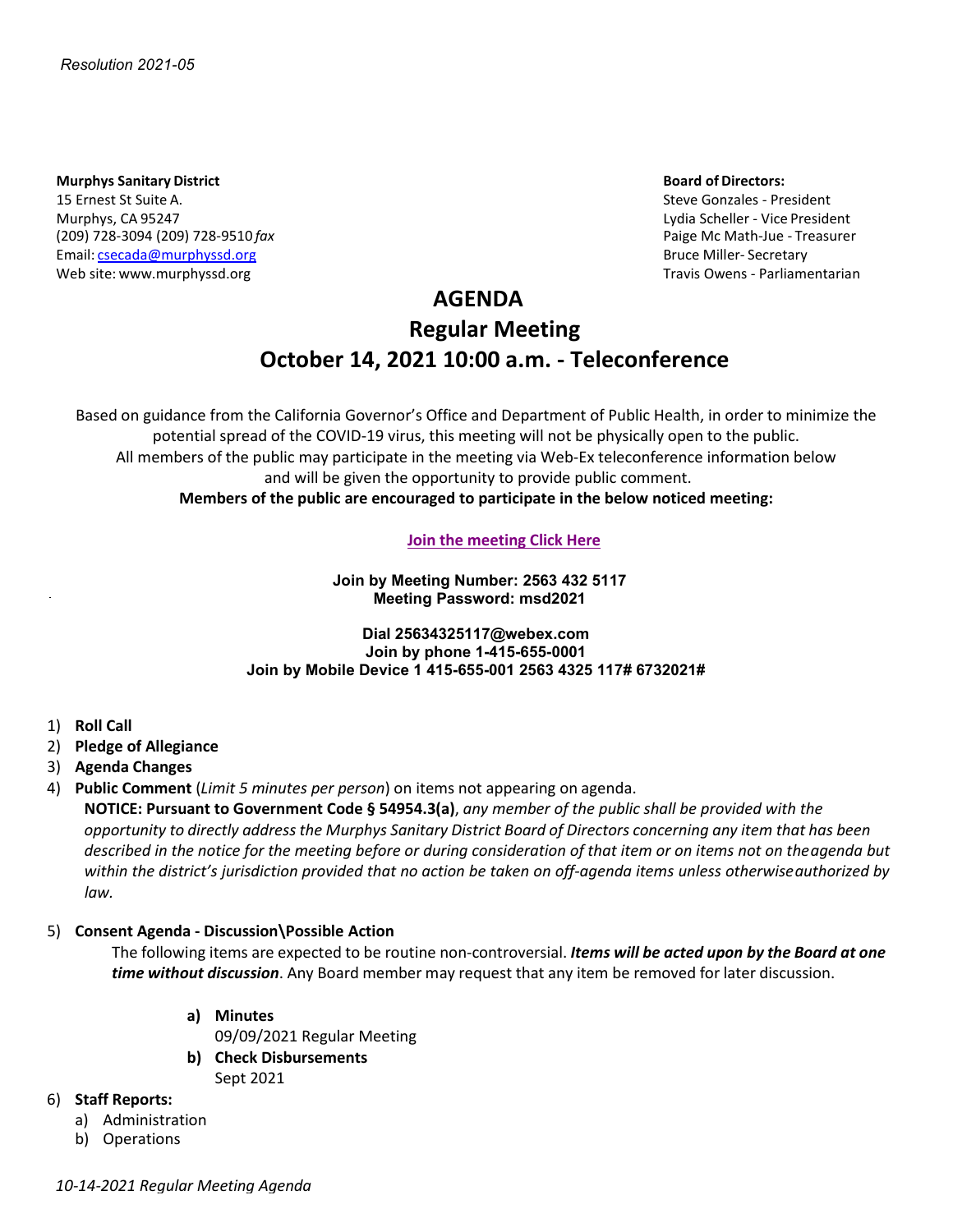#### **Murphys Sanitary District And Server Server Server Server Server Server Server Server Server Server Server Server Server Server Server Server Server Server Server Server Server Server Server Server Server Server Server Se**

15 Ernest St Suite A. Steve Gonzales - President Murphys, CA 95247 Lydia Scheller - Vice President (209) 728-3094 (209) 728-9510 *fax* Paige Mc Math-Jue - Treasurer Email: [csecada@murphyssd.org](mailto:csecada@murphyssd.org) Bruce Miller- Secretary and Bruce Miller- Secretary Web site: [www.murphyssd.org](http://www.murphyssd.org/) Travis Owens - Parliamentarian Communication Communication Communication Communication

## **AGENDA**

# **Regular Meeting October 14, 2021 10:00 a.m. - Teleconference**

Based on guidance from the California Governor's Office and Department of Public Health, in order to minimize the potential spread of the COVID-19 virus, this meeting will not be physically open to the public. All members of the public may participate in the meeting via Web-Ex teleconference information below and will be given the opportunity to provide public comment. **Members of the public are encouraged to participate in the below noticed meeting:**

#### **[Join the meeting](https://murphyssanitarydistrict.my.webex.com/murphyssanitarydistrict.my/j.php?MTID=m7dc61e33dedb495adb09e5be6127d2b1) Click Here**

**Join by Meeting Number: 2563 432 5117 Meeting Password: msd2021**

#### **Dial 25634325117@webex.com Join by phone 1-415-655-0001 Join by Mobile Device 1 415-655-001 2563 4325 117# 6732021#**

- 1) **Roll Call**
- 2) **Pledge of Allegiance**
- 3) **Agenda Changes**
- 4) **Public Comment** (*Limit 5 minutes per person*) on items not appearing on agenda.

**NOTICE: Pursuant to Government Code § 54954.3(a)**, *any member of the public shall be provided with the* opportunity to directly address the Murphys Sanitary District Board of Directors concerning any item that has been *described in the notice for the meeting before or during consideration of that item or on items not on theagenda but within the district's jurisdiction provided that no action be taken on off-agenda items unless otherwiseauthorized by law.*

### 5) **Consent Agenda - Discussion\Possible Action**

The following items are expected to be routine non-controversial. *Items will be acted upon by the Board at one time without discussion*. Any Board member may request that any item be removed for later discussion.

**a) Minutes**

09/09/2021 Regular Meeting

**b) Check Disbursements** Sept 2021

### 6) **Staff Reports:**

- a) Administration
- b) Operations